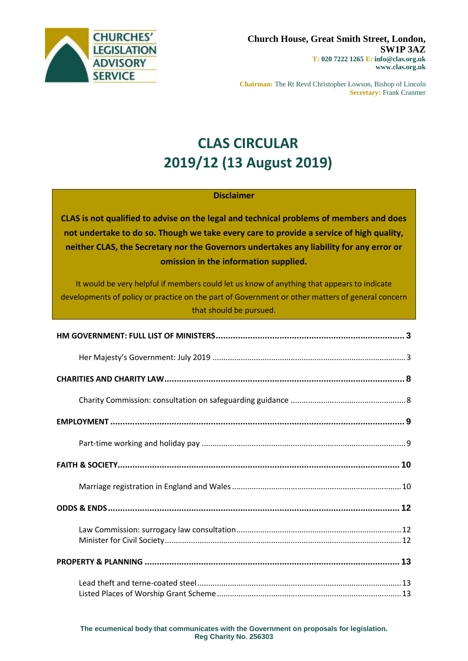

**Chairman:** The Rt Revd Christopher Lowson, Bishop of Lincoln **Secretary:** Frank Cranmer

# **CLAS CIRCULAR 2019/12 (13 August 2019)**

### **Disclaimer**

**CLAS is not qualified to advise on the legal and technical problems of members and does not undertake to do so. Though we take every care to provide a service of high quality, neither CLAS, the Secretary nor the Governors undertakes any liability for any error or omission in the information supplied.**

It would be very helpful if members could let us know of anything that appears to indicate developments of policy or practice on the part of Government or other matters of general concern that should be pursued.

**The ecumenical body that communicates with the Government on proposals for legislation. Reg Charity No. 256303**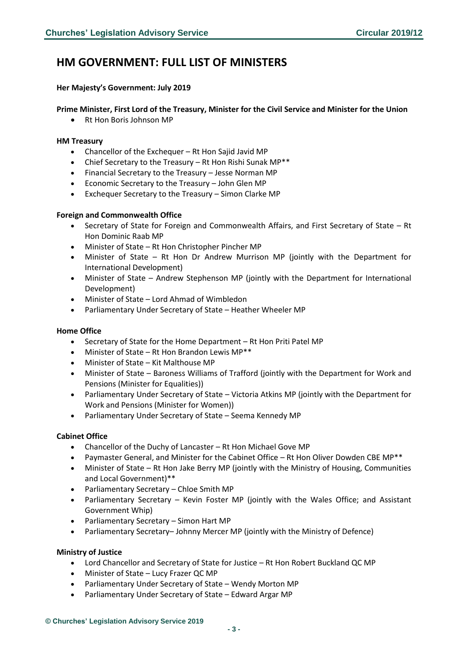# <span id="page-2-0"></span>**HM GOVERNMENT: FULL LIST OF MINISTERS**

#### <span id="page-2-1"></span>**Her Majesty's Government: July 2019**

### **Prime Minister, First Lord of the Treasury, Minister for the Civil Service and Minister for the Union**

• Rt Hon Boris Johnson MP

#### **HM Treasury**

- Chancellor of the Exchequer Rt Hon Sajid Javid MP
- Chief Secretary to the Treasury Rt Hon Rishi Sunak MP\*\*
- Financial Secretary to the Treasury Jesse Norman MP
- Economic Secretary to the Treasury John Glen MP
- Exchequer Secretary to the Treasury Simon Clarke MP

#### **Foreign and Commonwealth Office**

- Secretary of State for Foreign and Commonwealth Affairs, and First Secretary of State Rt Hon Dominic Raab MP
- Minister of State Rt Hon Christopher Pincher MP
- Minister of State Rt Hon Dr Andrew Murrison MP (jointly with the Department for International Development)
- Minister of State Andrew Stephenson MP (jointly with the Department for International Development)
- Minister of State Lord Ahmad of Wimbledon
- Parliamentary Under Secretary of State Heather Wheeler MP

#### **Home Office**

- Secretary of State for the Home Department Rt Hon Priti Patel MP
- Minister of State Rt Hon Brandon Lewis MP\*\*
- Minister of State Kit Malthouse MP
- Minister of State Baroness Williams of Trafford (jointly with the Department for Work and Pensions (Minister for Equalities))
- Parliamentary Under Secretary of State Victoria Atkins MP (jointly with the Department for Work and Pensions (Minister for Women))
- Parliamentary Under Secretary of State Seema Kennedy MP

#### **Cabinet Office**

- Chancellor of the Duchy of Lancaster Rt Hon Michael Gove MP
- Paymaster General, and Minister for the Cabinet Office Rt Hon Oliver Dowden CBE MP\*\*
- Minister of State Rt Hon Jake Berry MP (jointly with the Ministry of Housing, Communities and Local Government)\*\*
- Parliamentary Secretary Chloe Smith MP
- Parliamentary Secretary Kevin Foster MP (jointly with the Wales Office; and Assistant Government Whip)
- Parliamentary Secretary Simon Hart MP
- Parliamentary Secretary– Johnny Mercer MP (jointly with the Ministry of Defence)

#### **Ministry of Justice**

- Lord Chancellor and Secretary of State for Justice Rt Hon Robert Buckland QC MP
- Minister of State Lucy Frazer QC MP
- Parliamentary Under Secretary of State Wendy Morton MP
- Parliamentary Under Secretary of State Edward Argar MP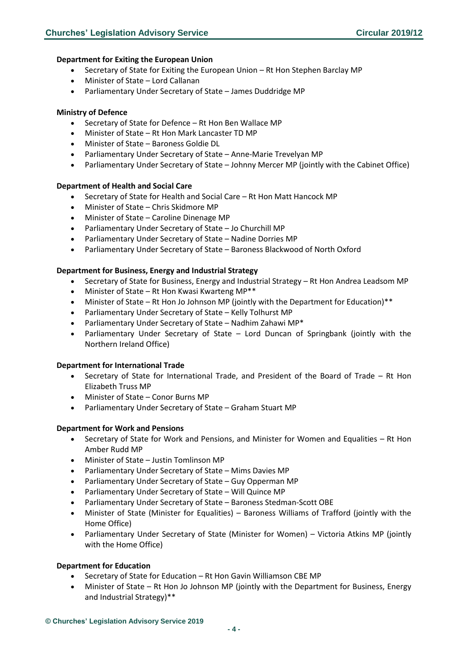#### **Department for Exiting the European Union**

- Secretary of State for Exiting the European Union Rt Hon Stephen Barclay MP
- Minister of State Lord Callanan
- Parliamentary Under Secretary of State James Duddridge MP

#### **Ministry of Defence**

- Secretary of State for Defence Rt Hon Ben Wallace MP
- Minister of State Rt Hon Mark Lancaster TD MP
- Minister of State Baroness Goldie DL
- Parliamentary Under Secretary of State Anne-Marie Trevelyan MP
- Parliamentary Under Secretary of State Johnny Mercer MP (jointly with the Cabinet Office)

#### **Department of Health and Social Care**

- Secretary of State for Health and Social Care Rt Hon Matt Hancock MP
- Minister of State Chris Skidmore MP
- Minister of State Caroline Dinenage MP
- Parliamentary Under Secretary of State Jo Churchill MP
- Parliamentary Under Secretary of State Nadine Dorries MP
- Parliamentary Under Secretary of State Baroness Blackwood of North Oxford

#### **Department for Business, Energy and Industrial Strategy**

- Secretary of State for Business, Energy and Industrial Strategy Rt Hon Andrea Leadsom MP
- Minister of State Rt Hon Kwasi Kwarteng MP\*\*
- Minister of State Rt Hon Jo Johnson MP (jointly with the Department for Education)\*\*
- Parliamentary Under Secretary of State Kelly Tolhurst MP
- Parliamentary Under Secretary of State Nadhim Zahawi MP\*
- Parliamentary Under Secretary of State Lord Duncan of Springbank (jointly with the Northern Ireland Office)

#### **Department for International Trade**

- Secretary of State for International Trade, and President of the Board of Trade Rt Hon Elizabeth Truss MP
- Minister of State Conor Burns MP
- Parliamentary Under Secretary of State Graham Stuart MP

#### **Department for Work and Pensions**

- Secretary of State for Work and Pensions, and Minister for Women and Equalities Rt Hon Amber Rudd MP
- Minister of State Justin Tomlinson MP
- Parliamentary Under Secretary of State Mims Davies MP
- Parliamentary Under Secretary of State Guy Opperman MP
- Parliamentary Under Secretary of State Will Quince MP
- Parliamentary Under Secretary of State Baroness Stedman-Scott OBE
- Minister of State (Minister for Equalities) Baroness Williams of Trafford (jointly with the Home Office)
- Parliamentary Under Secretary of State (Minister for Women) Victoria Atkins MP (jointly with the Home Office)

#### **Department for Education**

- Secretary of State for Education Rt Hon Gavin Williamson CBE MP
- Minister of State Rt Hon Jo Johnson MP (jointly with the Department for Business, Energy and Industrial Strategy)\*\*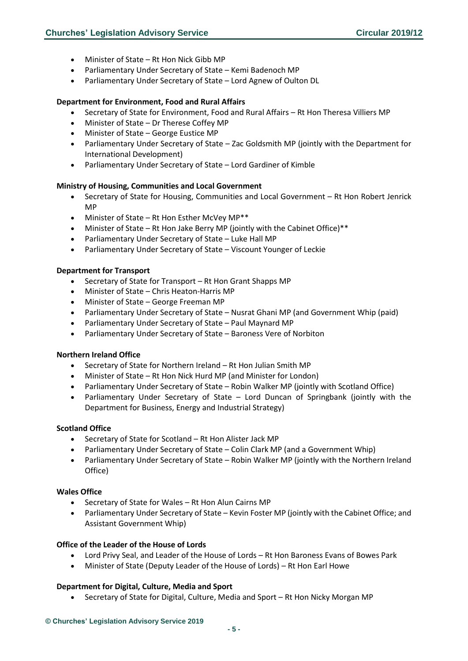- Minister of State Rt Hon Nick Gibb MP
- Parliamentary Under Secretary of State Kemi Badenoch MP
- Parliamentary Under Secretary of State Lord Agnew of Oulton DL

#### **Department for Environment, Food and Rural Affairs**

- Secretary of State for Environment, Food and Rural Affairs Rt Hon Theresa Villiers MP
- Minister of State Dr Therese Coffey MP
- Minister of State George Eustice MP
- Parliamentary Under Secretary of State Zac Goldsmith MP (jointly with the Department for International Development)
- Parliamentary Under Secretary of State Lord Gardiner of Kimble

#### **Ministry of Housing, Communities and Local Government**

- Secretary of State for Housing, Communities and Local Government Rt Hon Robert Jenrick MP
- Minister of State Rt Hon Esther McVey MP<sup>\*\*</sup>
- Minister of State Rt Hon Jake Berry MP (jointly with the Cabinet Office)\*\*
- Parliamentary Under Secretary of State Luke Hall MP
- Parliamentary Under Secretary of State Viscount Younger of Leckie

#### **Department for Transport**

- Secretary of State for Transport Rt Hon Grant Shapps MP
- Minister of State Chris Heaton-Harris MP
- Minister of State George Freeman MP
- Parliamentary Under Secretary of State Nusrat Ghani MP (and Government Whip (paid)
- Parliamentary Under Secretary of State Paul Maynard MP
- Parliamentary Under Secretary of State Baroness Vere of Norbiton

#### **Northern Ireland Office**

- Secretary of State for Northern Ireland Rt Hon Julian Smith MP
- Minister of State Rt Hon Nick Hurd MP (and Minister for London)
- Parliamentary Under Secretary of State Robin Walker MP (jointly with Scotland Office)
- Parliamentary Under Secretary of State Lord Duncan of Springbank (jointly with the Department for Business, Energy and Industrial Strategy)

#### **Scotland Office**

- Secretary of State for Scotland Rt Hon Alister Jack MP
- Parliamentary Under Secretary of State Colin Clark MP (and a Government Whip)
- Parliamentary Under Secretary of State Robin Walker MP (jointly with the Northern Ireland Office)

#### **Wales Office**

- Secretary of State for Wales Rt Hon Alun Cairns MP
- Parliamentary Under Secretary of State Kevin Foster MP (jointly with the Cabinet Office; and Assistant Government Whip)

#### **Office of the Leader of the House of Lords**

- Lord Privy Seal, and Leader of the House of Lords Rt Hon Baroness Evans of Bowes Park
- Minister of State (Deputy Leader of the House of Lords) Rt Hon Earl Howe

#### **Department for Digital, Culture, Media and Sport**

• Secretary of State for Digital, Culture, Media and Sport – Rt Hon Nicky Morgan MP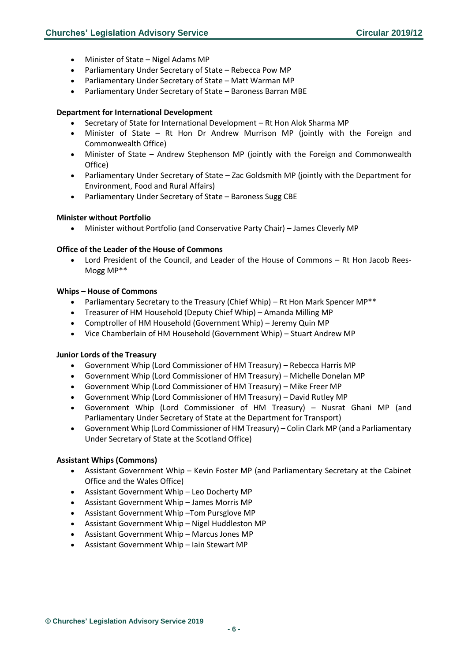- Minister of State Nigel Adams MP
- Parliamentary Under Secretary of State Rebecca Pow MP
- Parliamentary Under Secretary of State Matt Warman MP
- Parliamentary Under Secretary of State Baroness Barran MBE

#### **Department for International Development**

- Secretary of State for International Development Rt Hon Alok Sharma MP
- Minister of State Rt Hon Dr Andrew Murrison MP (jointly with the Foreign and Commonwealth Office)
- Minister of State Andrew Stephenson MP (jointly with the Foreign and Commonwealth Office)
- Parliamentary Under Secretary of State Zac Goldsmith MP (jointly with the Department for Environment, Food and Rural Affairs)
- Parliamentary Under Secretary of State Baroness Sugg CBE

#### **Minister without Portfolio**

• Minister without Portfolio (and Conservative Party Chair) – James Cleverly MP

#### **Office of the Leader of the House of Commons**

• Lord President of the Council, and Leader of the House of Commons – Rt Hon Jacob Rees-Mogg MP\*\*

#### **Whips – House of Commons**

- Parliamentary Secretary to the Treasury (Chief Whip) Rt Hon Mark Spencer MP\*\*
- Treasurer of HM Household (Deputy Chief Whip) Amanda Milling MP
- Comptroller of HM Household (Government Whip) Jeremy Quin MP
- Vice Chamberlain of HM Household (Government Whip) Stuart Andrew MP

#### **Junior Lords of the Treasury**

- Government Whip (Lord Commissioner of HM Treasury) Rebecca Harris MP
- Government Whip (Lord Commissioner of HM Treasury) Michelle Donelan MP
- Government Whip (Lord Commissioner of HM Treasury) Mike Freer MP
- Government Whip (Lord Commissioner of HM Treasury) David Rutley MP
- Government Whip (Lord Commissioner of HM Treasury) Nusrat Ghani MP (and Parliamentary Under Secretary of State at the Department for Transport)
- Government Whip (Lord Commissioner of HM Treasury) Colin Clark MP (and a Parliamentary Under Secretary of State at the Scotland Office)

#### **Assistant Whips (Commons)**

- Assistant Government Whip Kevin Foster MP (and Parliamentary Secretary at the Cabinet Office and the Wales Office)
- Assistant Government Whip Leo Docherty MP
- Assistant Government Whip James Morris MP
- Assistant Government Whip –Tom Pursglove MP
- Assistant Government Whip Nigel Huddleston MP
- Assistant Government Whip Marcus Jones MP
- Assistant Government Whip Iain Stewart MP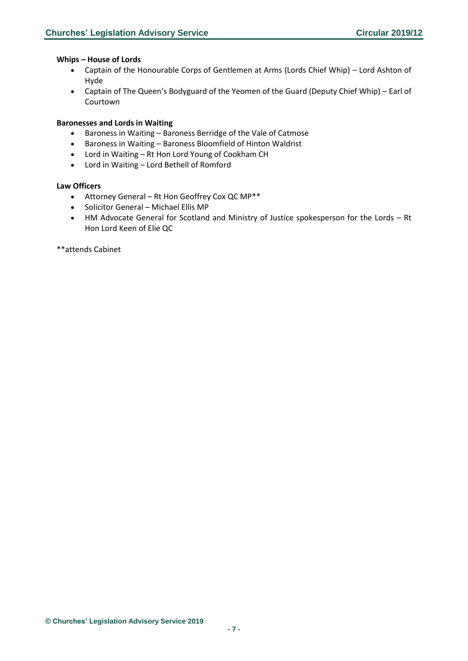#### **Whips – House of Lords**

- Captain of the Honourable Corps of Gentlemen at Arms (Lords Chief Whip) Lord Ashton of Hyde
- Captain of The Queen's Bodyguard of the Yeomen of the Guard (Deputy Chief Whip) Earl of Courtown

#### **Baronesses and Lords in Waiting**

- Baroness in Waiting Baroness Berridge of the Vale of Catmose
- Baroness in Waiting Baroness Bloomfield of Hinton Waldrist
- Lord in Waiting Rt Hon Lord Young of Cookham CH
- Lord in Waiting Lord Bethell of Romford

### **Law Officers**

- Attorney General Rt Hon Geoffrey Cox QC MP\*\*
- Solicitor General Michael Ellis MP
- HM Advocate General for Scotland and Ministry of Justice spokesperson for the Lords Rt Hon Lord Keen of Elie QC

\*\*attends Cabinet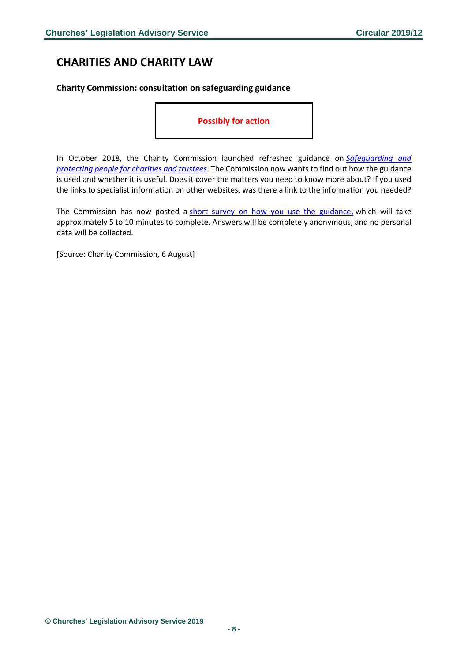# <span id="page-7-0"></span>**CHARITIES AND CHARITY LAW**

<span id="page-7-1"></span>**Charity Commission: consultation on safeguarding guidance**

**Possibly for action** 

In October 2018, the Charity Commission launched refreshed guidance on *[Safeguarding and](https://www.gov.uk/guidance/safeguarding-duties-for-charity-trustees)  [protecting people for charities and trustees](https://www.gov.uk/guidance/safeguarding-duties-for-charity-trustees)*. The Commission now wants to find out how the guidance is used and whether it is useful. Does it cover the matters you need to know more about? If you used the links to specialist information on other websites, was there a link to the information you needed?

The Commission has now posted a [short survey on how you use the guidance,](https://www.smartsurvey.co.uk/s/safeguarding_guidance_feedback/) which will take approximately 5 to 10 minutes to complete. Answers will be completely anonymous, and no personal data will be collected.

[Source: Charity Commission, 6 August]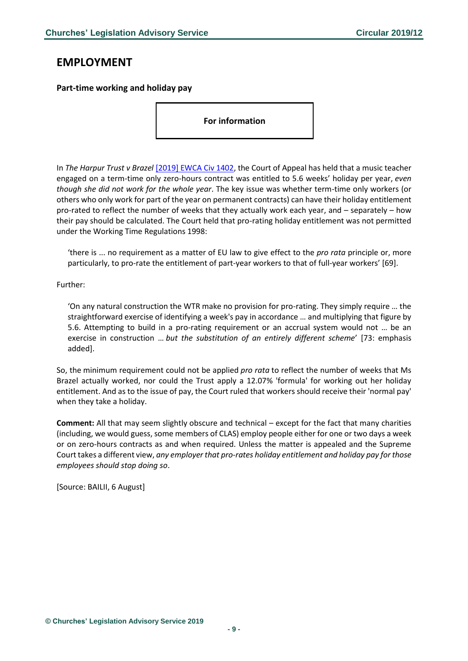# <span id="page-8-0"></span>**EMPLOYMENT**

<span id="page-8-1"></span>**Part-time working and holiday pay**

**For information**

In *The Harpur Trust v Brazel* [\[2019\] EWCA Civ 1402,](https://www.bailii.org/ew/cases/EWCA/Civ/2019/1402.html) the Court of Appeal has held that a music teacher engaged on a term-time only zero-hours contract was entitled to 5.6 weeks' holiday per year, *even though she did not work for the whole year*. The key issue was whether term-time only workers (or others who only work for part of the year on permanent contracts) can have their holiday entitlement pro-rated to reflect the number of weeks that they actually work each year, and – separately – how their pay should be calculated. The Court held that pro-rating holiday entitlement was not permitted under the Working Time Regulations 1998:

'there is ... no requirement as a matter of EU law to give effect to the *pro rata* principle or, more particularly, to pro-rate the entitlement of part-year workers to that of full-year workers' [69].

Further:

'On any natural construction the WTR make no provision for pro-rating. They simply require … the straightforward exercise of identifying a week's pay in accordance … and multiplying that figure by 5.6. Attempting to build in a pro-rating requirement or an accrual system would not … be an exercise in construction … *but the substitution of an entirely different scheme*' [73: emphasis added].

So, the minimum requirement could not be applied *pro rata* to reflect the number of weeks that Ms Brazel actually worked, nor could the Trust apply a 12.07% 'formula' for working out her holiday entitlement. And as to the issue of pay, the Court ruled that workers should receive their 'normal pay' when they take a holiday.

**Comment:** All that may seem slightly obscure and technical – except for the fact that many charities (including, we would guess, some members of CLAS) employ people either for one or two days a week or on zero-hours contracts as and when required. Unless the matter is appealed and the Supreme Court takes a different view, *any employer that pro-rates holiday entitlement and holiday pay for those employees should stop doing so*.

[Source: BAILII, 6 August]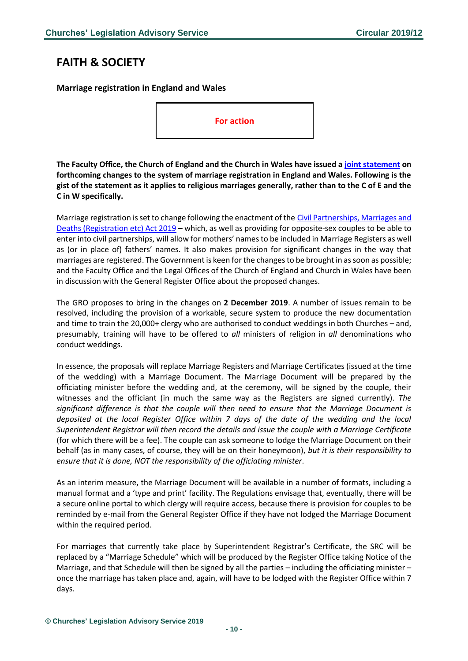# <span id="page-9-0"></span>**FAITH & SOCIETY**

<span id="page-9-1"></span>**Marriage registration in England and Wales**

**For action**

**The Faculty Office, the Church of England and the Church in Wales have issued a [joint statement](http://www.facultyoffice.org.uk/special-licences/marriage-law-news/) on forthcoming changes to the system of marriage registration in England and Wales. Following is the gist of the statement as it applies to religious marriages generally, rather than to the C of E and the C in W specifically.**

Marriage registration is set to change following the enactment of the [Civil Partnerships, Marriages and](http://www.legislation.gov.uk/ukpga/2019/12/contents/enacted)  [Deaths \(Registration etc\) Act 2019](http://www.legislation.gov.uk/ukpga/2019/12/contents/enacted) – which, as well as providing for opposite-sex couples to be able to enter into civil partnerships, will allow for mothers' names to be included in Marriage Registers as well as (or in place of) fathers' names. It also makes provision for significant changes in the way that marriages are registered. The Government is keen for the changes to be brought in as soon as possible; and the Faculty Office and the Legal Offices of the Church of England and Church in Wales have been in discussion with the General Register Office about the proposed changes.

The GRO proposes to bring in the changes on **2 December 2019**. A number of issues remain to be resolved, including the provision of a workable, secure system to produce the new documentation and time to train the 20,000+ clergy who are authorised to conduct weddings in both Churches – and, presumably, training will have to be offered to *all* ministers of religion in *all* denominations who conduct weddings.

In essence, the proposals will replace Marriage Registers and Marriage Certificates (issued at the time of the wedding) with a Marriage Document. The Marriage Document will be prepared by the officiating minister before the wedding and, at the ceremony, will be signed by the couple, their witnesses and the officiant (in much the same way as the Registers are signed currently). *The significant difference is that the couple will then need to ensure that the Marriage Document is deposited at the local Register Office within 7 days of the date of the wedding and the local Superintendent Registrar will then record the details and issue the couple with a Marriage Certificate*  (for which there will be a fee). The couple can ask someone to lodge the Marriage Document on their behalf (as in many cases, of course, they will be on their honeymoon), *but it is their responsibility to ensure that it is done, NOT the responsibility of the officiating minister*.

As an interim measure, the Marriage Document will be available in a number of formats, including a manual format and a 'type and print' facility. The Regulations envisage that, eventually, there will be a secure online portal to which clergy will require access, because there is provision for couples to be reminded by e-mail from the General Register Office if they have not lodged the Marriage Document within the required period.

For marriages that currently take place by Superintendent Registrar's Certificate, the SRC will be replaced by a "Marriage Schedule" which will be produced by the Register Office taking Notice of the Marriage, and that Schedule will then be signed by all the parties – including the officiating minister – once the marriage has taken place and, again, will have to be lodged with the Register Office within 7 days.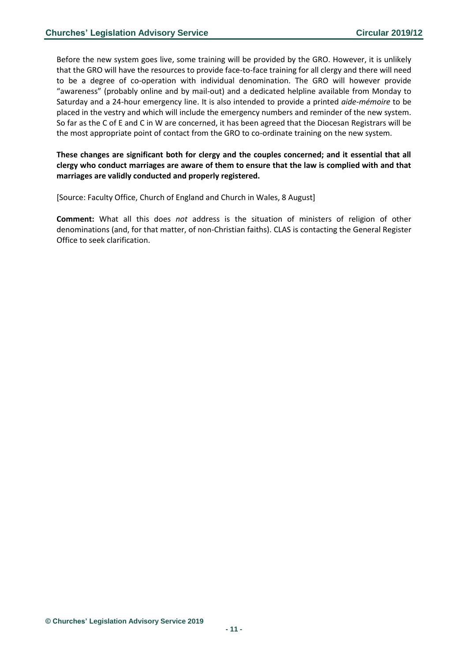Before the new system goes live, some training will be provided by the GRO. However, it is unlikely that the GRO will have the resources to provide face-to-face training for all clergy and there will need to be a degree of co-operation with individual denomination. The GRO will however provide "awareness" (probably online and by mail-out) and a dedicated helpline available from Monday to Saturday and a 24-hour emergency line. It is also intended to provide a printed *aide-mémoire* to be placed in the vestry and which will include the emergency numbers and reminder of the new system. So far as the C of E and C in W are concerned, it has been agreed that the Diocesan Registrars will be the most appropriate point of contact from the GRO to co-ordinate training on the new system.

### **These changes are significant both for clergy and the couples concerned; and it essential that all clergy who conduct marriages are aware of them to ensure that the law is complied with and that marriages are validly conducted and properly registered.**

[Source: Faculty Office, Church of England and Church in Wales, 8 August]

**Comment:** What all this does *not* address is the situation of ministers of religion of other denominations (and, for that matter, of non-Christian faiths). CLAS is contacting the General Register Office to seek clarification.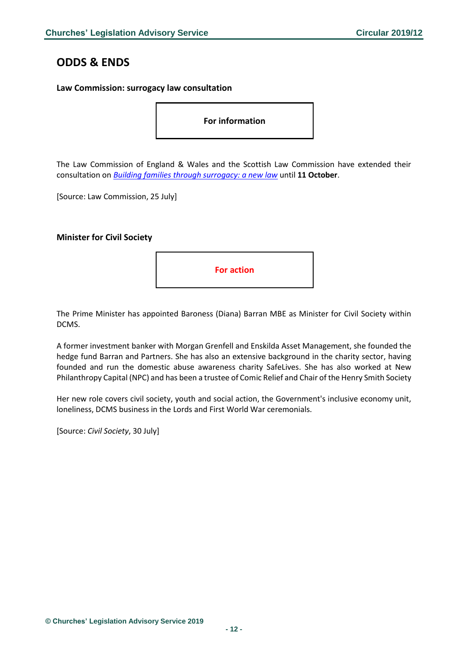# <span id="page-11-0"></span>**ODDS & ENDS**

#### <span id="page-11-1"></span>**Law Commission: surrogacy law consultation**

**For information**

The Law Commission of England & Wales and the Scottish Law Commission have extended their consultation on *[Building families through surrogacy: a new law](https://s3-eu-west-2.amazonaws.com/lawcom-prod-storage-11jsxou24uy7q/uploads/2019/06/Surrogacy-consultation-paper.pdf)* until **11 October**.

[Source: Law Commission, 25 July]

#### <span id="page-11-2"></span>**Minister for Civil Society**



The Prime Minister has appointed Baroness (Diana) Barran MBE as Minister for Civil Society within DCMS.

A former investment banker with Morgan Grenfell and Enskilda Asset Management, she founded the hedge fund Barran and Partners. She has also an extensive background in the charity sector, having founded and run the domestic abuse awareness charity SafeLives. She has also worked at New Philanthropy Capital (NPC) and has been a trustee of Comic Relief and Chair of the Henry Smith Society

Her new role covers civil society, youth and social action, the Government's inclusive economy unit, loneliness, DCMS business in the Lords and First World War ceremonials.

[Source: *Civil Society*, 30 July]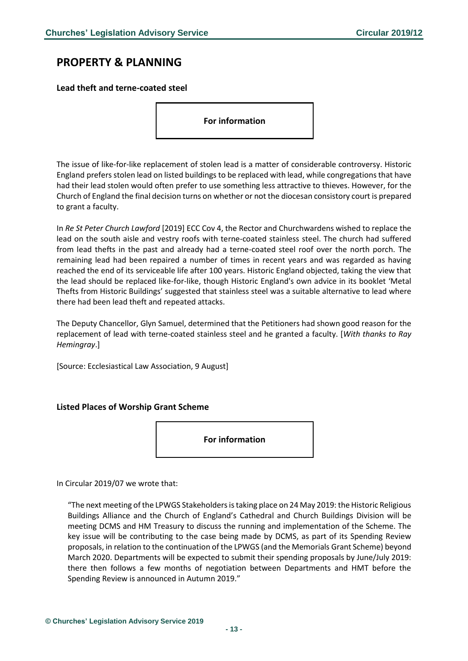# <span id="page-12-0"></span>**PROPERTY & PLANNING**

<span id="page-12-1"></span>**Lead theft and terne-coated steel**

**For information**

The issue of like-for-like replacement of stolen lead is a matter of considerable controversy. Historic England prefers stolen lead on listed buildings to be replaced with lead, while congregations that have had their lead stolen would often prefer to use something less attractive to thieves. However, for the Church of England the final decision turns on whether or not the diocesan consistory court is prepared to grant a faculty.

In *Re St Peter Church Lawford* [2019] ECC Cov 4, the Rector and Churchwardens wished to replace the lead on the south aisle and vestry roofs with terne-coated stainless steel. The church had suffered from lead thefts in the past and already had a terne-coated steel roof over the north porch. The remaining lead had been repaired a number of times in recent years and was regarded as having reached the end of its serviceable life after 100 years. Historic England objected, taking the view that the lead should be replaced like-for-like, though Historic England's own advice in its booklet 'Metal Thefts from Historic Buildings' suggested that stainless steel was a suitable alternative to lead where there had been lead theft and repeated attacks.

The Deputy Chancellor, Glyn Samuel, determined that the Petitioners had shown good reason for the replacement of lead with terne-coated stainless steel and he granted a faculty. [*With thanks to Ray Hemingray*.]

[Source: Ecclesiastical Law Association, 9 August]

### <span id="page-12-2"></span>**Listed Places of Worship Grant Scheme**

**For information**

In Circular 2019/07 we wrote that:

"The next meeting of the LPWGS Stakeholders is taking place on 24 May 2019: the Historic Religious Buildings Alliance and the Church of England's Cathedral and Church Buildings Division will be meeting DCMS and HM Treasury to discuss the running and implementation of the Scheme. The key issue will be contributing to the case being made by DCMS, as part of its Spending Review proposals, in relation to the continuation of the LPWGS (and the Memorials Grant Scheme) beyond March 2020. Departments will be expected to submit their spending proposals by June/July 2019: there then follows a few months of negotiation between Departments and HMT before the Spending Review is announced in Autumn 2019."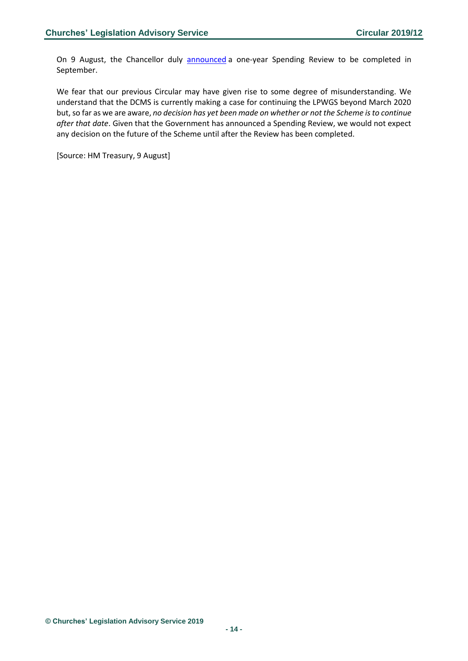On 9 August, the Chancellor duly **[announced](https://www.gov.uk/government/news/chancellor-fast-tracks-spending-round-to-free-up-departments-to-prepare-for-brexit)** a one-year Spending Review to be completed in September.

We fear that our previous Circular may have given rise to some degree of misunderstanding. We understand that the DCMS is currently making a case for continuing the LPWGS beyond March 2020 but, so far as we are aware, *no decision has yet been made on whether or not the Scheme is to continue after that date*. Given that the Government has announced a Spending Review, we would not expect any decision on the future of the Scheme until after the Review has been completed.

[Source: HM Treasury, 9 August]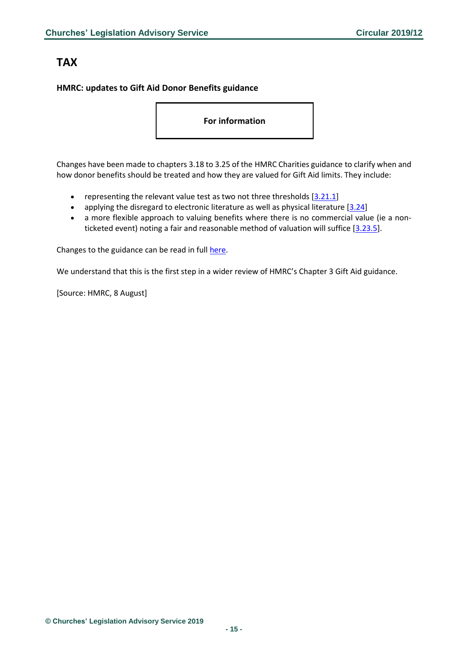# <span id="page-14-0"></span>**TAX**

### <span id="page-14-1"></span>**HMRC: updates to Gift Aid Donor Benefits guidance**

**For information**

Changes have been made to chapters 3.18 to 3.25 of the HMRC Charities guidance to clarify when and how donor benefits should be treated and how they are valued for Gift Aid limits. They include:

- representing the relevant value test as two not three thresholds  $[3.21.1]$
- applying the disregard to electronic literature as well as physical literature  $[3.24]$
- a more flexible approach to valuing benefits where there is no commercial value (ie a nonticketed event) noting a fair and reasonable method of valuation will suffice [\[3.23.5\]](https://www.gov.uk/government/publications/charities-detailed-guidance-notes/chapter-3-gift-aid#chapter-323-valuing-donor-benefits).

Changes to the guidance can be read in full [here.](https://www.gov.uk/government/publications/charities-detailed-guidance-notes/chapter-3-gift-aid#chapter-318-benefits-received-by-donors-and-connected-persons)

We understand that this is the first step in a wider review of HMRC's Chapter 3 Gift Aid guidance.

[Source: HMRC, 8 August]